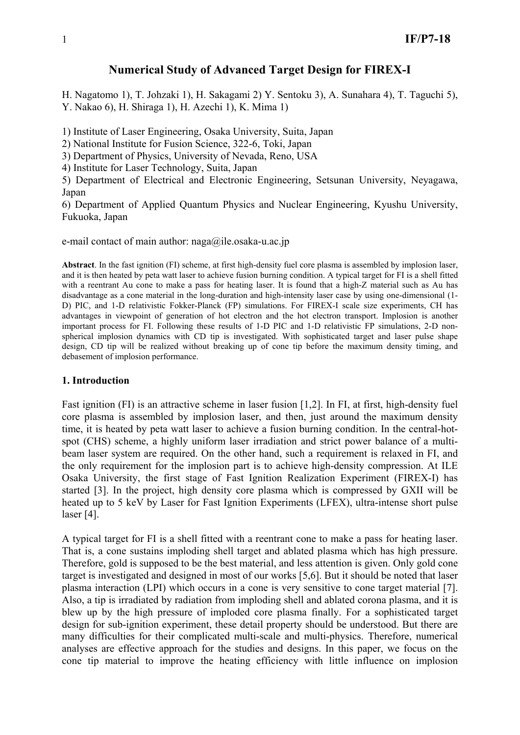# **Numerical Study of Advanced Target Design for FIREX-I**

H. Nagatomo 1), T. Johzaki 1), H. Sakagami 2) Y. Sentoku 3), A. Sunahara 4), T. Taguchi 5), Y. Nakao 6), H. Shiraga 1), H. Azechi 1), K. Mima 1)

1) Institute of Laser Engineering, Osaka University, Suita, Japan

2) National Institute for Fusion Science, 322-6, Toki, Japan

3) Department of Physics, University of Nevada, Reno, USA

4) Institute for Laser Technology, Suita, Japan

5) Department of Electrical and Electronic Engineering, Setsunan University, Neyagawa, Japan

6) Department of Applied Quantum Physics and Nuclear Engineering, Kyushu University, Fukuoka, Japan

e-mail contact of main author:  $naga@ile.osaka-u.ac.jp$ 

**Abstract**. In the fast ignition (FI) scheme, at first high-density fuel core plasma is assembled by implosion laser, and it is then heated by peta watt laser to achieve fusion burning condition. A typical target for FI is a shell fitted with a reentrant Au cone to make a pass for heating laser. It is found that a high-Z material such as Au has disadvantage as a cone material in the long-duration and high-intensity laser case by using one-dimensional (1- D) PIC, and 1-D relativistic Fokker-Planck (FP) simulations. For FIREX-I scale size experiments, CH has advantages in viewpoint of generation of hot electron and the hot electron transport. Implosion is another important process for FI. Following these results of 1-D PIC and 1-D relativistic FP simulations, 2-D nonspherical implosion dynamics with CD tip is investigated. With sophisticated target and laser pulse shape design, CD tip will be realized without breaking up of cone tip before the maximum density timing, and debasement of implosion performance.

#### **1. Introduction**

Fast ignition (FI) is an attractive scheme in laser fusion [1,2]. In FI, at first, high-density fuel core plasma is assembled by implosion laser, and then, just around the maximum density time, it is heated by peta watt laser to achieve a fusion burning condition. In the central-hotspot (CHS) scheme, a highly uniform laser irradiation and strict power balance of a multibeam laser system are required. On the other hand, such a requirement is relaxed in FI, and the only requirement for the implosion part is to achieve high-density compression. At ILE Osaka University, the first stage of Fast Ignition Realization Experiment (FIREX-I) has started [3]. In the project, high density core plasma which is compressed by GXII will be heated up to 5 keV by Laser for Fast Ignition Experiments (LFEX), ultra-intense short pulse laser [4].

A typical target for FI is a shell fitted with a reentrant cone to make a pass for heating laser. That is, a cone sustains imploding shell target and ablated plasma which has high pressure. Therefore, gold is supposed to be the best material, and less attention is given. Only gold cone target is investigated and designed in most of our works [5,6]. But it should be noted that laser plasma interaction (LPI) which occurs in a cone is very sensitive to cone target material [7]. Also, a tip is irradiated by radiation from imploding shell and ablated corona plasma, and it is blew up by the high pressure of imploded core plasma finally. For a sophisticated target design for sub-ignition experiment, these detail property should be understood. But there are many difficulties for their complicated multi-scale and multi-physics. Therefore, numerical analyses are effective approach for the studies and designs. In this paper, we focus on the cone tip material to improve the heating efficiency with little influence on implosion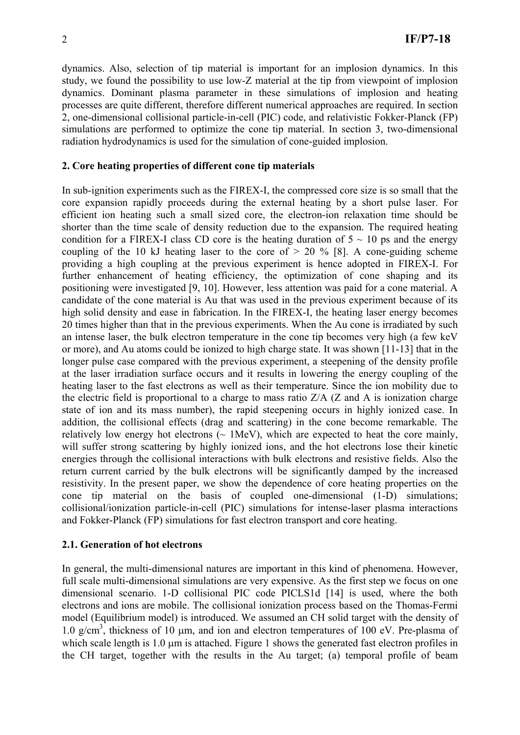dynamics. Also, selection of tip material is important for an implosion dynamics. In this study, we found the possibility to use low-Z material at the tip from viewpoint of implosion dynamics. Dominant plasma parameter in these simulations of implosion and heating processes are quite different, therefore different numerical approaches are required. In section 2, one-dimensional collisional particle-in-cell (PIC) code, and relativistic Fokker-Planck (FP) simulations are performed to optimize the cone tip material. In section 3, two-dimensional radiation hydrodynamics is used for the simulation of cone-guided implosion.

#### **2. Core heating properties of different cone tip materials**

In sub-ignition experiments such as the FIREX-I, the compressed core size is so small that the core expansion rapidly proceeds during the external heating by a short pulse laser. For efficient ion heating such a small sized core, the electron-ion relaxation time should be shorter than the time scale of density reduction due to the expansion. The required heating condition for a FIREX-I class CD core is the heating duration of  $5 \sim 10$  ps and the energy coupling of the 10 kJ heating laser to the core of  $> 20\%$  [8]. A cone-guiding scheme providing a high coupling at the previous experiment is hence adopted in FIREX-I. For further enhancement of heating efficiency, the optimization of cone shaping and its positioning were investigated [9, 10]. However, less attention was paid for a cone material. A candidate of the cone material is Au that was used in the previous experiment because of its high solid density and ease in fabrication. In the FIREX-I, the heating laser energy becomes 20 times higher than that in the previous experiments. When the Au cone is irradiated by such an intense laser, the bulk electron temperature in the cone tip becomes very high (a few keV or more), and Au atoms could be ionized to high charge state. It was shown [11-13] that in the longer pulse case compared with the previous experiment, a steepening of the density profile at the laser irradiation surface occurs and it results in lowering the energy coupling of the heating laser to the fast electrons as well as their temperature. Since the ion mobility due to the electric field is proportional to a charge to mass ratio  $Z/A$  ( $Z$  and  $A$  is ionization charge state of ion and its mass number), the rapid steepening occurs in highly ionized case. In addition, the collisional effects (drag and scattering) in the cone become remarkable. The relatively low energy hot electrons  $\sim 1$ MeV), which are expected to heat the core mainly, will suffer strong scattering by highly ionized ions, and the hot electrons lose their kinetic energies through the collisional interactions with bulk electrons and resistive fields. Also the return current carried by the bulk electrons will be significantly damped by the increased resistivity. In the present paper, we show the dependence of core heating properties on the cone tip material on the basis of coupled one-dimensional (1-D) simulations; collisional/ionization particle-in-cell (PIC) simulations for intense-laser plasma interactions and Fokker-Planck (FP) simulations for fast electron transport and core heating.

### **2.1. Generation of hot electrons**

In general, the multi-dimensional natures are important in this kind of phenomena. However, full scale multi-dimensional simulations are very expensive. As the first step we focus on one dimensional scenario. 1-D collisional PIC code PICLS1d [14] is used, where the both electrons and ions are mobile. The collisional ionization process based on the Thomas-Fermi model (Equilibrium model) is introduced. We assumed an CH solid target with the density of 1.0 g/cm<sup>3</sup>, thickness of 10 μm, and ion and electron temperatures of 100 eV. Pre-plasma of which scale length is 1.0 μm is attached. Figure 1 shows the generated fast electron profiles in the CH target, together with the results in the Au target; (a) temporal profile of beam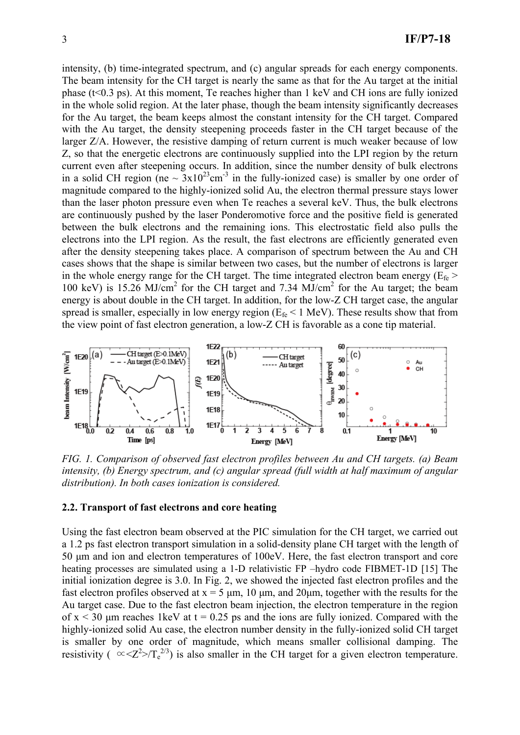intensity, (b) time-integrated spectrum, and (c) angular spreads for each energy components. The beam intensity for the CH target is nearly the same as that for the Au target at the initial phase (t<0.3 ps). At this moment, Te reaches higher than 1 keV and CH ions are fully ionized in the whole solid region. At the later phase, though the beam intensity significantly decreases for the Au target, the beam keeps almost the constant intensity for the CH target. Compared with the Au target, the density steepening proceeds faster in the CH target because of the larger Z/A. However, the resistive damping of return current is much weaker because of low Z, so that the energetic electrons are continuously supplied into the LPI region by the return current even after steepening occurs. In addition, since the number density of bulk electrons in a solid CH region (ne  $\sim 3x10^{23}$ cm<sup>-3</sup> in the fully-ionized case) is smaller by one order of magnitude compared to the highly-ionized solid Au, the electron thermal pressure stays lower than the laser photon pressure even when Te reaches a several keV. Thus, the bulk electrons are continuously pushed by the laser Ponderomotive force and the positive field is generated between the bulk electrons and the remaining ions. This electrostatic field also pulls the electrons into the LPI region. As the result, the fast electrons are efficiently generated even after the density steepening takes place. A comparison of spectrum between the Au and CH cases shows that the shape is similar between two cases, but the number of electrons is larger in the whole energy range for the CH target. The time integrated electron beam energy ( $E_f$ ) 100 keV) is 15.26 MJ/cm<sup>2</sup> for the CH target and 7.34 MJ/cm<sup>2</sup> for the Au target; the beam energy is about double in the CH target. In addition, for the low-Z CH target case, the angular spread is smaller, especially in low energy region ( $E<sub>fe</sub> < 1$  MeV). These results show that from the view point of fast electron generation, a low-Z CH is favorable as a cone tip material.



*FIG. 1. Comparison of observed fast electron profiles between Au and CH targets. (a) Beam intensity, (b) Energy spectrum, and (c) angular spread (full width at half maximum of angular distribution). In both cases ionization is considered.* 

#### **2.2. Transport of fast electrons and core heating**

Using the fast electron beam observed at the PIC simulation for the CH target, we carried out a 1.2 ps fast electron transport simulation in a solid-density plane CH target with the length of 50 μm and ion and electron temperatures of 100eV. Here, the fast electron transport and core heating processes are simulated using a 1-D relativistic FP –hydro code FIBMET-1D [15] The initial ionization degree is 3.0. In Fig. 2, we showed the injected fast electron profiles and the fast electron profiles observed at  $x = 5 \mu m$ , 10  $\mu m$ , and 20 $\mu m$ , together with the results for the Au target case. Due to the fast electron beam injection, the electron temperature in the region of  $x < 30$  μm reaches 1keV at t = 0.25 ps and the ions are fully ionized. Compared with the highly-ionized solid Au case, the electron number density in the fully-ionized solid CH target is smaller by one order of magnitude, which means smaller collisional damping. The resistivity (  $\propto <$ Z<sup>2</sup>>/T<sub>e</sub><sup>2/3</sup>) is also smaller in the CH target for a given electron temperature.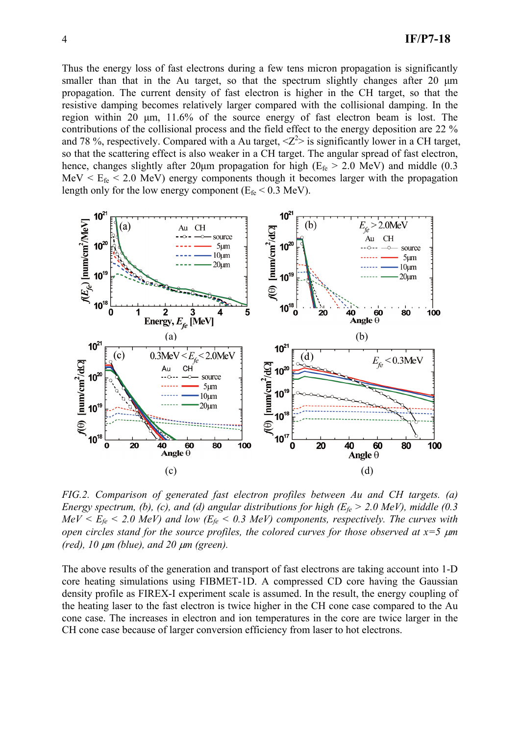Thus the energy loss of fast electrons during a few tens micron propagation is significantly smaller than that in the Au target, so that the spectrum slightly changes after 20 μm propagation. The current density of fast electron is higher in the CH target, so that the resistive damping becomes relatively larger compared with the collisional damping. In the region within 20 μm, 11.6% of the source energy of fast electron beam is lost. The contributions of the collisional process and the field effect to the energy deposition are 22 % and 78%, respectively. Compared with a Au target,  $\langle Z^2 \rangle$  is significantly lower in a CH target, so that the scattering effect is also weaker in a CH target. The angular spread of fast electron, hence, changes slightly after 20µm propagation for high ( $E_{fe} > 2.0$  MeV) and middle (0.3  $MeV < E$ <sub>fe</sub> < 2.0 MeV) energy components though it becomes larger with the propagation length only for the low energy component ( $E_f$  < 0.3 MeV).



*FIG.2. Comparison of generated fast electron profiles between Au and CH targets. (a) Energy spectrum, (b), (c), and (d) angular distributions for high (Efe > 2.0 MeV), middle (0.3*   $MeV < E_f$   $\epsilon$   $\leq$  2.0 MeV) and low ( $E_f$   $\epsilon$   $\leq$  0.3 MeV) components, respectively. The curves with *open circles stand for the source profiles, the colored curves for those observed at x=5* μ*m (red), 10* μ*m (blue), and 20* μ*m (green).* 

The above results of the generation and transport of fast electrons are taking account into 1-D core heating simulations using FIBMET-1D. A compressed CD core having the Gaussian density profile as FIREX-I experiment scale is assumed. In the result, the energy coupling of the heating laser to the fast electron is twice higher in the CH cone case compared to the Au cone case. The increases in electron and ion temperatures in the core are twice larger in the CH cone case because of larger conversion efficiency from laser to hot electrons.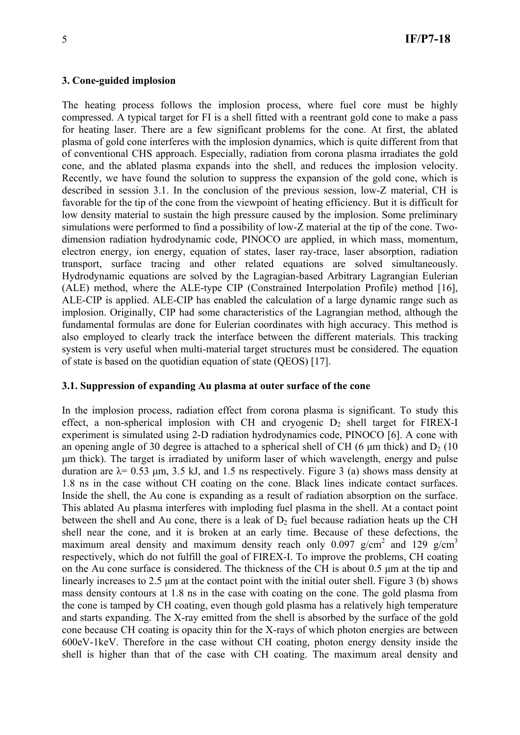#### **3. Cone-guided implosion**

The heating process follows the implosion process, where fuel core must be highly compressed. A typical target for FI is a shell fitted with a reentrant gold cone to make a pass for heating laser. There are a few significant problems for the cone. At first, the ablated plasma of gold cone interferes with the implosion dynamics, which is quite different from that of conventional CHS approach. Especially, radiation from corona plasma irradiates the gold cone, and the ablated plasma expands into the shell, and reduces the implosion velocity. Recently, we have found the solution to suppress the expansion of the gold cone, which is described in session 3.1. In the conclusion of the previous session, low-Z material, CH is favorable for the tip of the cone from the viewpoint of heating efficiency. But it is difficult for low density material to sustain the high pressure caused by the implosion. Some preliminary simulations were performed to find a possibility of low-Z material at the tip of the cone. Twodimension radiation hydrodynamic code, PINOCO are applied, in which mass, momentum, electron energy, ion energy, equation of states, laser ray-trace, laser absorption, radiation transport, surface tracing and other related equations are solved simultaneously. Hydrodynamic equations are solved by the Lagragian-based Arbitrary Lagrangian Eulerian (ALE) method, where the ALE-type CIP (Constrained Interpolation Profile) method [16], ALE-CIP is applied. ALE-CIP has enabled the calculation of a large dynamic range such as implosion. Originally, CIP had some characteristics of the Lagrangian method, although the fundamental formulas are done for Eulerian coordinates with high accuracy. This method is also employed to clearly track the interface between the different materials. This tracking system is very useful when multi-material target structures must be considered. The equation of state is based on the quotidian equation of state (QEOS) [17].

#### **3.1. Suppression of expanding Au plasma at outer surface of the cone**

In the implosion process, radiation effect from corona plasma is significant. To study this effect, a non-spherical implosion with CH and cryogenic  $D_2$  shell target for FIREX-I experiment is simulated using 2-D radiation hydrodynamics code, PINOCO [6]. A cone with an opening angle of 30 degree is attached to a spherical shell of CH (6  $\mu$ m thick) and D<sub>2</sub> (10) μm thick). The target is irradiated by uniform laser of which wavelength, energy and pulse duration are  $\lambda$ = 0.53 µm, 3.5 kJ, and 1.5 ns respectively. Figure 3 (a) shows mass density at 1.8 ns in the case without CH coating on the cone. Black lines indicate contact surfaces. Inside the shell, the Au cone is expanding as a result of radiation absorption on the surface. This ablated Au plasma interferes with imploding fuel plasma in the shell. At a contact point between the shell and Au cone, there is a leak of  $D_2$  fuel because radiation heats up the CH shell near the cone, and it is broken at an early time. Because of these defections, the maximum areal density and maximum density reach only  $0.097$  g/cm<sup>2</sup> and 129 g/cm<sup>3</sup> respectively, which do not fulfill the goal of FIREX-I. To improve the problems, CH coating on the Au cone surface is considered. The thickness of the CH is about 0.5 μm at the tip and linearly increases to 2.5 μm at the contact point with the initial outer shell. Figure 3 (b) shows mass density contours at 1.8 ns in the case with coating on the cone. The gold plasma from the cone is tamped by CH coating, even though gold plasma has a relatively high temperature and starts expanding. The X-ray emitted from the shell is absorbed by the surface of the gold cone because CH coating is opacity thin for the X-rays of which photon energies are between 600eV-1keV. Therefore in the case without CH coating, photon energy density inside the shell is higher than that of the case with CH coating. The maximum areal density and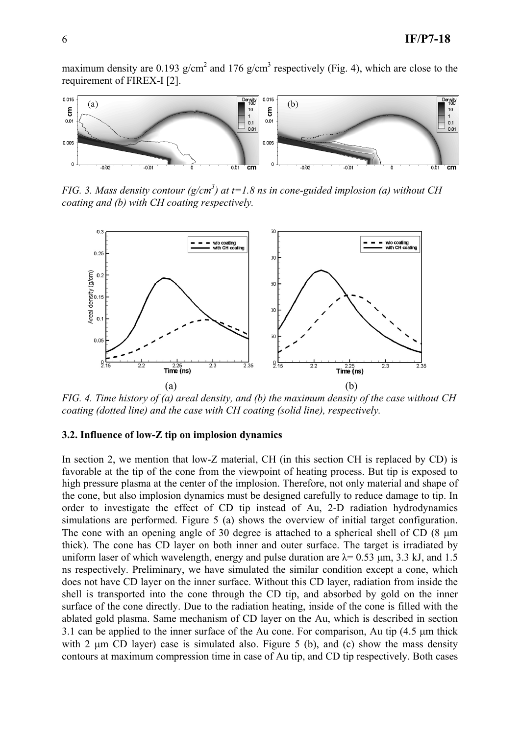maximum density are 0.193  $g/cm<sup>2</sup>$  and 176  $g/cm<sup>3</sup>$  respectively (Fig. 4), which are close to the requirement of FIREX-I [2].



*FIG.* 3. Mass density contour  $(g/cm^3)$  at t=1.8 ns in cone-guided implosion (a) without CH *coating and (b) with CH coating respectively.* 



*FIG. 4. Time history of (a) areal density, and (b) the maximum density of the case without CH coating (dotted line) and the case with CH coating (solid line), respectively.* 

### **3.2. Influence of low-Z tip on implosion dynamics**

In section 2, we mention that low-Z material, CH (in this section CH is replaced by CD) is favorable at the tip of the cone from the viewpoint of heating process. But tip is exposed to high pressure plasma at the center of the implosion. Therefore, not only material and shape of the cone, but also implosion dynamics must be designed carefully to reduce damage to tip. In order to investigate the effect of CD tip instead of Au, 2-D radiation hydrodynamics simulations are performed. Figure 5 (a) shows the overview of initial target configuration. The cone with an opening angle of 30 degree is attached to a spherical shell of CD (8 μm thick). The cone has CD layer on both inner and outer surface. The target is irradiated by uniform laser of which wavelength, energy and pulse duration are  $\lambda$ = 0.53  $\mu$ m, 3.3 kJ, and 1.5 ns respectively. Preliminary, we have simulated the similar condition except a cone, which does not have CD layer on the inner surface. Without this CD layer, radiation from inside the shell is transported into the cone through the CD tip, and absorbed by gold on the inner surface of the cone directly. Due to the radiation heating, inside of the cone is filled with the ablated gold plasma. Same mechanism of CD layer on the Au, which is described in section 3.1 can be applied to the inner surface of the Au cone. For comparison, Au tip (4.5 μm thick with 2  $\mu$ m CD layer) case is simulated also. Figure 5 (b), and (c) show the mass density contours at maximum compression time in case of Au tip, and CD tip respectively. Both cases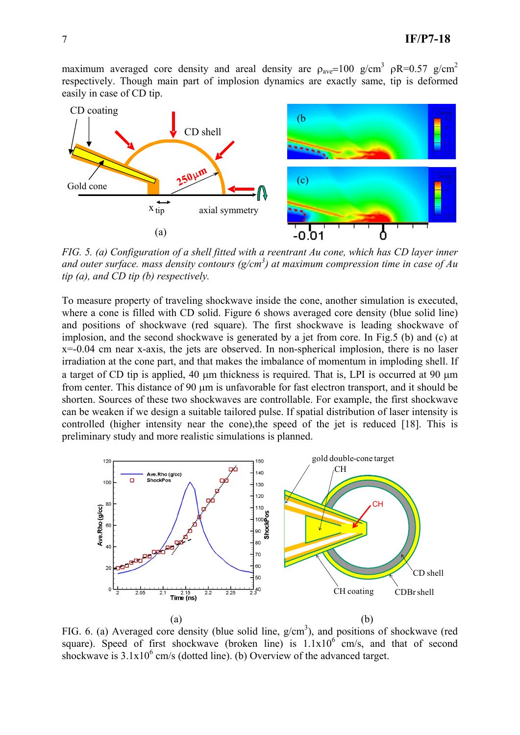maximum averaged core density and areal density are  $\rho_{\text{ave}}=100 \text{ g/cm}^3 \text{ pR}=0.57 \text{ g/cm}^2$ respectively. Though main part of implosion dynamics are exactly same, tip is deformed easily in case of CD tip.



*FIG. 5. (a) Configuration of a shell fitted with a reentrant Au cone, which has CD layer inner and outer surface. mass density contours (g/cm3 ) at maximum compression time in case of Au tip (a), and CD tip (b) respectively.* 

To measure property of traveling shockwave inside the cone, another simulation is executed, where a cone is filled with CD solid. Figure 6 shows averaged core density (blue solid line) and positions of shockwave (red square). The first shockwave is leading shockwave of implosion, and the second shockwave is generated by a jet from core. In Fig.5 (b) and (c) at x=-0.04 cm near x-axis, the jets are observed. In non-spherical implosion, there is no laser irradiation at the cone part, and that makes the imbalance of momentum in imploding shell. If a target of CD tip is applied, 40 μm thickness is required. That is, LPI is occurred at 90 μm from center. This distance of 90 μm is unfavorable for fast electron transport, and it should be shorten. Sources of these two shockwaves are controllable. For example, the first shockwave can be weaken if we design a suitable tailored pulse. If spatial distribution of laser intensity is controlled (higher intensity near the cone),the speed of the jet is reduced [18]. This is preliminary study and more realistic simulations is planned.



FIG. 6. (a) Averaged core density (blue solid line,  $g/cm<sup>3</sup>$ ), and positions of shockwave (red square). Speed of first shockwave (broken line) is  $1.1x10<sup>6</sup>$  cm/s, and that of second shockwave is  $3.1x10^6$  cm/s (dotted line). (b) Overview of the advanced target.